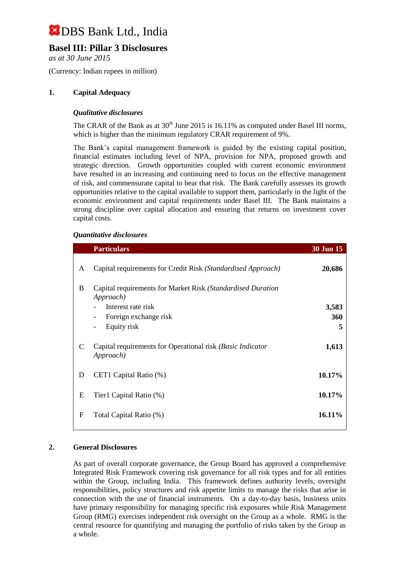### **Basel III: Pillar 3 Disclosures**

*as at 30 June 2015*

(Currency: Indian rupees in million)

#### **1. Capital Adequacy**

#### *Qualitative disclosures*

The CRAR of the Bank as at  $30<sup>th</sup>$  June 2015 is 16.11% as computed under Basel III norms, which is higher than the minimum regulatory CRAR requirement of 9%.

The Bank's capital management framework is guided by the existing capital position, financial estimates including level of NPA, provision for NPA, proposed growth and strategic direction. Growth opportunities coupled with current economic environment have resulted in an increasing and continuing need to focus on the effective management of risk, and commensurate capital to bear that risk. The Bank carefully assesses its growth opportunities relative to the capital available to support them, particularly in the light of the economic environment and capital requirements under Basel III. The Bank maintains a strong discipline over capital allocation and ensuring that returns on investment cover capital costs.

#### *Quantitative disclosures*

|   | <b>Particulars</b>                                                       | 30 Jun 15 |
|---|--------------------------------------------------------------------------|-----------|
| A | Capital requirements for Credit Risk (Standardised Approach)             | 20,686    |
| B | Capital requirements for Market Risk (Standardised Duration<br>Approach) |           |
|   | Interest rate risk                                                       | 3,583     |
|   | Foreign exchange risk<br>-                                               | 360       |
|   | Equity risk<br>-                                                         | 5         |
| C | Capital requirements for Operational risk (Basic Indicator<br>Approach)  | 1,613     |
| D | CET1 Capital Ratio (%)                                                   | 10.17%    |
| E | Tier1 Capital Ratio (%)                                                  | 10.17%    |
| F | Total Capital Ratio (%)                                                  | 16.11%    |

#### **2. General Disclosures**

As part of overall corporate governance, the Group Board has approved a comprehensive Integrated Risk Framework covering risk governance for all risk types and for all entities within the Group, including India. This framework defines authority levels, oversight responsibilities, policy structures and risk appetite limits to manage the risks that arise in connection with the use of financial instruments. On a day-to-day basis, business units have primary responsibility for managing specific risk exposures while Risk Management Group (RMG) exercises independent risk oversight on the Group as a whole. RMG is the central resource for quantifying and managing the portfolio of risks taken by the Group as a whole.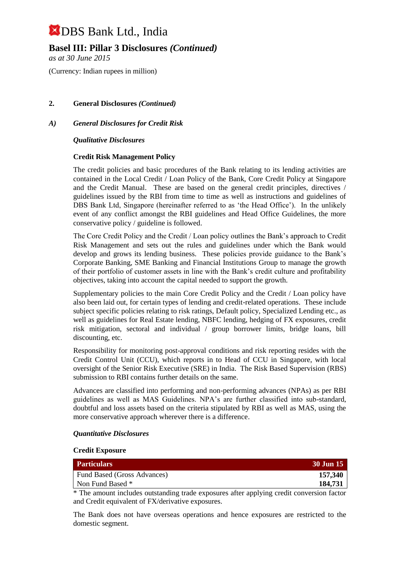### **Basel III: Pillar 3 Disclosures** *(Continued)*

*as at 30 June 2015*

(Currency: Indian rupees in million)

#### **2. General Disclosures** *(Continued)*

#### *A) General Disclosures for Credit Risk*

*Qualitative Disclosures*

#### **Credit Risk Management Policy**

The credit policies and basic procedures of the Bank relating to its lending activities are contained in the Local Credit / Loan Policy of the Bank, Core Credit Policy at Singapore and the Credit Manual. These are based on the general credit principles, directives / guidelines issued by the RBI from time to time as well as instructions and guidelines of DBS Bank Ltd, Singapore (hereinafter referred to as 'the Head Office'). In the unlikely event of any conflict amongst the RBI guidelines and Head Office Guidelines, the more conservative policy / guideline is followed.

The Core Credit Policy and the Credit / Loan policy outlines the Bank's approach to Credit Risk Management and sets out the rules and guidelines under which the Bank would develop and grows its lending business. These policies provide guidance to the Bank's Corporate Banking, SME Banking and Financial Institutions Group to manage the growth of their portfolio of customer assets in line with the Bank's credit culture and profitability objectives, taking into account the capital needed to support the growth.

Supplementary policies to the main Core Credit Policy and the Credit / Loan policy have also been laid out, for certain types of lending and credit-related operations. These include subject specific policies relating to risk ratings, Default policy, Specialized Lending etc., as well as guidelines for Real Estate lending, NBFC lending, hedging of FX exposures, credit risk mitigation, sectoral and individual / group borrower limits, bridge loans, bill discounting, etc.

Responsibility for monitoring post-approval conditions and risk reporting resides with the Credit Control Unit (CCU), which reports in to Head of CCU in Singapore, with local oversight of the Senior Risk Executive (SRE) in India. The Risk Based Supervision (RBS) submission to RBI contains further details on the same.

Advances are classified into performing and non-performing advances (NPAs) as per RBI guidelines as well as MAS Guidelines. NPA's are further classified into sub-standard, doubtful and loss assets based on the criteria stipulated by RBI as well as MAS, using the more conservative approach wherever there is a difference.

#### *Quantitative Disclosures*

#### **Credit Exposure**

| <b>Particulars</b>                 | 30 Jun 15 |
|------------------------------------|-----------|
| <b>Fund Based (Gross Advances)</b> | 157,340   |
| Non Fund Based *                   | 184,731   |

\* The amount includes outstanding trade exposures after applying credit conversion factor and Credit equivalent of FX/derivative exposures.

The Bank does not have overseas operations and hence exposures are restricted to the domestic segment.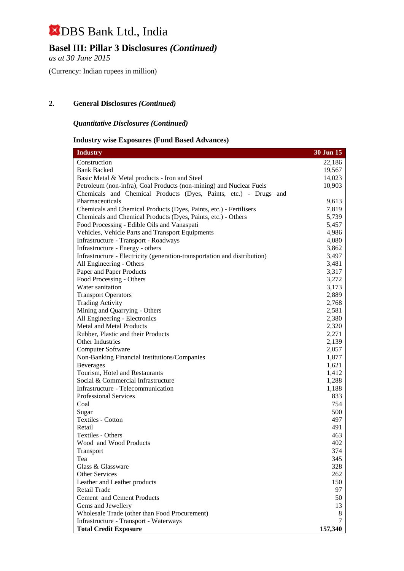## **Basel III: Pillar 3 Disclosures** *(Continued)*

*as at 30 June 2015*

(Currency: Indian rupees in million)

#### **2. General Disclosures** *(Continued)*

#### *Quantitative Disclosures (Continued)*

#### **Industry wise Exposures (Fund Based Advances)**

| <b>Industry</b>                                                           | 30 Jun 15 |
|---------------------------------------------------------------------------|-----------|
| Construction                                                              | 22,186    |
| <b>Bank Backed</b>                                                        | 19,567    |
| Basic Metal & Metal products - Iron and Steel                             | 14,023    |
| Petroleum (non-infra), Coal Products (non-mining) and Nuclear Fuels       | 10,903    |
| Chemicals and Chemical Products (Dyes, Paints, etc.) - Drugs and          |           |
| Pharmaceuticals                                                           | 9,613     |
| Chemicals and Chemical Products (Dyes, Paints, etc.) - Fertilisers        | 7,819     |
| Chemicals and Chemical Products (Dyes, Paints, etc.) - Others             | 5,739     |
| Food Processing - Edible Oils and Vanaspati                               | 5,457     |
| Vehicles, Vehicle Parts and Transport Equipments                          | 4,986     |
| Infrastructure - Transport - Roadways                                     | 4,080     |
| Infrastructure - Energy - others                                          | 3,862     |
| Infrastructure - Electricity (generation-transportation and distribution) | 3,497     |
| All Engineering - Others                                                  | 3,481     |
| Paper and Paper Products                                                  | 3,317     |
| Food Processing - Others                                                  | 3,272     |
| Water sanitation                                                          | 3,173     |
| <b>Transport Operators</b>                                                | 2,889     |
| <b>Trading Activity</b>                                                   | 2,768     |
| Mining and Quarrying - Others                                             | 2,581     |
| All Engineering - Electronics                                             | 2,380     |
| Metal and Metal Products                                                  | 2,320     |
| Rubber, Plastic and their Products                                        | 2,271     |
| Other Industries                                                          | 2,139     |
| <b>Computer Software</b>                                                  | 2,057     |
| Non-Banking Financial Institutions/Companies                              | 1,877     |
| <b>Beverages</b>                                                          | 1,621     |
| Tourism, Hotel and Restaurants                                            | 1,412     |
| Social & Commercial Infrastructure                                        | 1,288     |
| Infrastructure - Telecommunication                                        | 1,188     |
| <b>Professional Services</b>                                              | 833       |
| Coal                                                                      | 754       |
| Sugar                                                                     | 500       |
| Textiles - Cotton                                                         | 497       |
| Retail                                                                    | 491       |
| Textiles - Others                                                         | 463       |
| Wood and Wood Products                                                    | 402       |
| Transport                                                                 | 374       |
| Tea                                                                       | 345       |
| Glass & Glassware                                                         | 328       |
| Other Services                                                            | 262       |
| Leather and Leather products                                              | 150       |
| Retail Trade                                                              | 97        |
| Cement and Cement Products                                                | 50        |
| Gems and Jewellery                                                        | 13        |
| Wholesale Trade (other than Food Procurement)                             | 8         |
| Infrastructure - Transport - Waterways                                    |           |
| <b>Total Credit Exposure</b>                                              | 157,340   |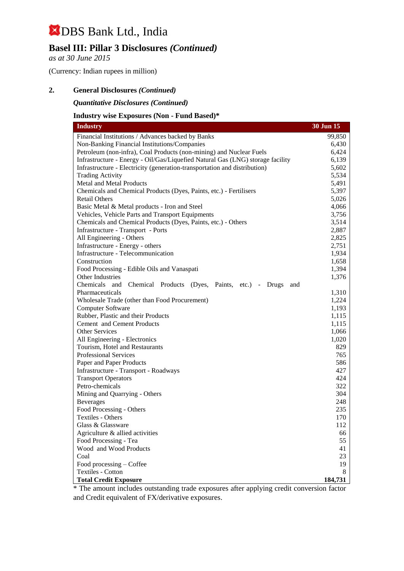### **Basel III: Pillar 3 Disclosures** *(Continued)*

*as at 30 June 2015*

(Currency: Indian rupees in million)

#### **2. General Disclosures** *(Continued)*

*Quantitative Disclosures (Continued)*

#### **Industry wise Exposures (Non - Fund Based)\***

| <b>Industry</b>                                                                | 30 Jun 15 |
|--------------------------------------------------------------------------------|-----------|
| Financial Institutions / Advances backed by Banks                              | 99,850    |
| Non-Banking Financial Institutions/Companies                                   | 6,430     |
| Petroleum (non-infra), Coal Products (non-mining) and Nuclear Fuels            | 6,424     |
| Infrastructure - Energy - Oil/Gas/Liquefied Natural Gas (LNG) storage facility | 6,139     |
| Infrastructure - Electricity (generation-transportation and distribution)      | 5,602     |
| <b>Trading Activity</b>                                                        | 5,534     |
| Metal and Metal Products                                                       | 5,491     |
| Chemicals and Chemical Products (Dyes, Paints, etc.) - Fertilisers             | 5,397     |
| <b>Retail Others</b>                                                           | 5,026     |
| Basic Metal & Metal products - Iron and Steel                                  | 4,066     |
| Vehicles, Vehicle Parts and Transport Equipments                               | 3,756     |
| Chemicals and Chemical Products (Dyes, Paints, etc.) - Others                  | 3,514     |
| Infrastructure - Transport - Ports                                             | 2,887     |
| All Engineering - Others                                                       | 2,825     |
| Infrastructure - Energy - others                                               | 2,751     |
| Infrastructure - Telecommunication                                             | 1,934     |
| Construction                                                                   | 1,658     |
| Food Processing - Edible Oils and Vanaspati                                    | 1,394     |
| Other Industries                                                               | 1,376     |
| Chemicals and<br>Chemical Products (Dyes, Paints, etc.) - Drugs<br>and         |           |
| Pharmaceuticals                                                                | 1,310     |
| Wholesale Trade (other than Food Procurement)                                  | 1,224     |
| Computer Software                                                              | 1,193     |
| Rubber, Plastic and their Products                                             | 1,115     |
| Cement and Cement Products                                                     | 1,115     |
| Other Services                                                                 | 1,066     |
| All Engineering - Electronics                                                  | 1,020     |
| Tourism, Hotel and Restaurants                                                 | 829       |
| Professional Services                                                          | 765       |
| Paper and Paper Products                                                       | 586       |
| Infrastructure - Transport - Roadways                                          | 427       |
| <b>Transport Operators</b>                                                     | 424       |
| Petro-chemicals                                                                | 322       |
| Mining and Quarrying - Others                                                  | 304       |
| <b>Beverages</b>                                                               | 248       |
| Food Processing - Others                                                       | 235       |
| Textiles - Others<br>Glass & Glassware                                         | 170       |
|                                                                                | 112       |
| Agriculture & allied activities<br>Food Processing - Tea                       | 66<br>55  |
| Wood and Wood Products                                                         | 41        |
| Coal                                                                           | 23        |
| Food processing – Coffee                                                       | 19        |
| Textiles - Cotton                                                              | 8         |
| <b>Total Credit Exposure</b>                                                   | 184,731   |
|                                                                                |           |

\* The amount includes outstanding trade exposures after applying credit conversion factor and Credit equivalent of FX/derivative exposures.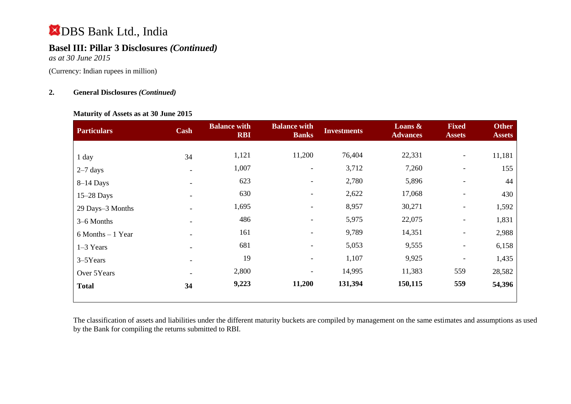## **Basel III: Pillar 3 Disclosures** *(Continued)*

*as at 30 June 2015*

(Currency: Indian rupees in million)

#### **2. General Disclosures** *(Continued)*

#### **Maturity of Assets as at 30 June 2015**

| 11,181 |
|--------|
| 155    |
| 44     |
| 430    |
| 1,592  |
| 1,831  |
| 2,988  |
| 6,158  |
| 1,435  |
| 28,582 |
| 54,396 |
|        |

The classification of assets and liabilities under the different maturity buckets are compiled by management on the same estimates and assumptions as used by the Bank for compiling the returns submitted to RBI.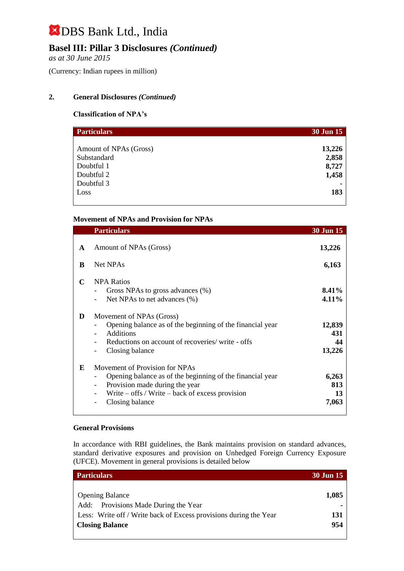### **Basel III: Pillar 3 Disclosures** *(Continued)*

*as at 30 June 2015*

(Currency: Indian rupees in million)

#### **2. General Disclosures** *(Continued)*

#### **Classification of NPA's**

| <b>Particulars</b>     | 30 Jun 15 |
|------------------------|-----------|
|                        |           |
| Amount of NPAs (Gross) | 13,226    |
| Substandard            | 2,858     |
| Doubtful 1             | 8,727     |
| Doubtful 2             | 1,458     |
| Doubtful 3             |           |
| Loss                   | 183       |
|                        |           |

#### **Movement of NPAs and Provision for NPAs**

|              | <b>Particulars</b>                                                                                                                                                                                                                  | 30 Jun 15                     |
|--------------|-------------------------------------------------------------------------------------------------------------------------------------------------------------------------------------------------------------------------------------|-------------------------------|
| $\mathbf{A}$ | Amount of NPAs (Gross)                                                                                                                                                                                                              | 13,226                        |
| B            | Net NPAs                                                                                                                                                                                                                            | 6,163                         |
| C            | <b>NPA Ratios</b><br>Gross NPAs to gross advances (%)<br>Net NPAs to net advances (%)                                                                                                                                               | 8.41%<br>4.11%                |
| D            | Movement of NPAs (Gross)<br>Opening balance as of the beginning of the financial year<br><b>Additions</b><br>Reductions on account of recoveries/write - offs<br>Closing balance                                                    | 12,839<br>431<br>44<br>13,226 |
| E            | Movement of Provision for NPAs<br>Opening balance as of the beginning of the financial year<br>Provision made during the year<br>$\overline{\phantom{0}}$<br>Write $-$ offs / Write $-$ back of excess provision<br>Closing balance | 6,263<br>813<br>13<br>7,063   |

#### **General Provisions**

In accordance with RBI guidelines, the Bank maintains provision on standard advances, standard derivative exposures and provision on Unhedged Foreign Currency Exposure (UFCE). Movement in general provisions is detailed below

| <b>Particulars</b>                                                | <b>30 Jun 15</b> |
|-------------------------------------------------------------------|------------------|
|                                                                   |                  |
| <b>Opening Balance</b>                                            | 1,085            |
| Add: Provisions Made During the Year                              |                  |
| Less: Write off / Write back of Excess provisions during the Year | 131              |
| <b>Closing Balance</b>                                            | 954              |
|                                                                   |                  |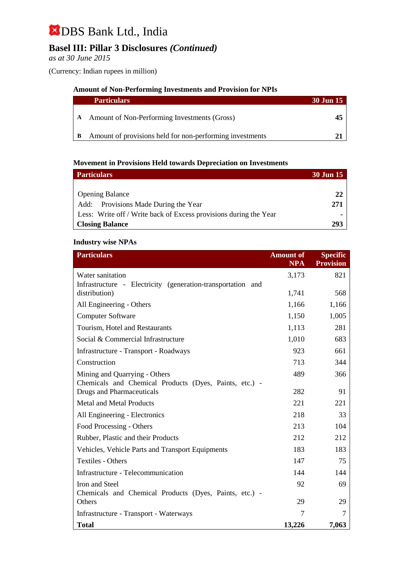## **Basel III: Pillar 3 Disclosures** *(Continued)*

*as at 30 June 2015*

(Currency: Indian rupees in million)

#### **Amount of Non-Performing Investments and Provision for NPIs**

| <b>Particulars</b>                                       | 30 Jun 15 |
|----------------------------------------------------------|-----------|
| A Amount of Non-Performing Investments (Gross)           |           |
| Amount of provisions held for non-performing investments |           |

#### **Movement in Provisions Held towards Depreciation on Investments**

| <b>Particulars</b>                                                | 30 Jun 15 |
|-------------------------------------------------------------------|-----------|
|                                                                   |           |
| <b>Opening Balance</b>                                            | 22        |
| Add: Provisions Made During the Year                              | 271       |
| Less: Write off / Write back of Excess provisions during the Year |           |
| <b>Closing Balance</b>                                            | 293       |

#### **Industry wise NPAs**

| <b>Particulars</b>                                          | <b>Amount of</b><br><b>NPA</b> | <b>Specific</b><br><b>Provision</b> |
|-------------------------------------------------------------|--------------------------------|-------------------------------------|
| Water sanitation                                            | 3,173                          | 821                                 |
| Infrastructure - Electricity (generation-transportation and |                                |                                     |
| distribution)                                               | 1,741                          | 568                                 |
| All Engineering - Others                                    | 1,166                          | 1,166                               |
| <b>Computer Software</b>                                    | 1,150                          | 1,005                               |
| Tourism, Hotel and Restaurants                              | 1,113                          | 281                                 |
| Social & Commercial Infrastructure                          | 1,010                          | 683                                 |
| Infrastructure - Transport - Roadways                       | 923                            | 661                                 |
| Construction                                                | 713                            | 344                                 |
| Mining and Quarrying - Others                               | 489                            | 366                                 |
| Chemicals and Chemical Products (Dyes, Paints, etc.) -      |                                |                                     |
| <b>Drugs and Pharmaceuticals</b>                            | 282                            | 91                                  |
| <b>Metal and Metal Products</b>                             | 221                            | 221                                 |
| All Engineering - Electronics                               | 218                            | 33                                  |
| Food Processing - Others                                    | 213                            | 104                                 |
| Rubber, Plastic and their Products                          | 212                            | 212                                 |
| Vehicles, Vehicle Parts and Transport Equipments            | 183                            | 183                                 |
| <b>Textiles - Others</b>                                    | 147                            | 75                                  |
| Infrastructure - Telecommunication                          | 144                            | 144                                 |
| Iron and Steel                                              | 92                             | 69                                  |
| Chemicals and Chemical Products (Dyes, Paints, etc.) -      |                                |                                     |
| Others                                                      | 29                             | 29                                  |
| Infrastructure - Transport - Waterways                      | 7                              |                                     |
| <b>Total</b>                                                | 13,226                         | 7,063                               |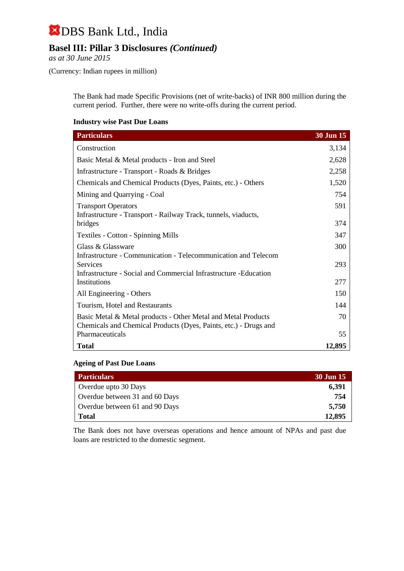### **Basel III: Pillar 3 Disclosures** *(Continued)*

*as at 30 June 2015*

(Currency: Indian rupees in million)

The Bank had made Specific Provisions (net of write-backs) of INR 800 million during the current period. Further, there were no write-offs during the current period.

#### **Industry wise Past Due Loans**

| <b>Particulars</b>                                                | 30 Jun 15 |
|-------------------------------------------------------------------|-----------|
| Construction                                                      | 3,134     |
| Basic Metal & Metal products - Iron and Steel                     | 2,628     |
| Infrastructure - Transport - Roads & Bridges                      | 2,258     |
| Chemicals and Chemical Products (Dyes, Paints, etc.) - Others     | 1,520     |
| Mining and Quarrying - Coal                                       | 754       |
| <b>Transport Operators</b>                                        | 591       |
| Infrastructure - Transport - Railway Track, tunnels, viaducts,    |           |
| bridges                                                           | 374       |
| <b>Textiles - Cotton - Spinning Mills</b>                         | 347       |
| Glass & Glassware                                                 | 300       |
| Infrastructure - Communication - Telecommunication and Telecom    |           |
| <b>Services</b>                                                   | 293       |
| Infrastructure - Social and Commercial Infrastructure - Education |           |
| Institutions                                                      | 277       |
| All Engineering - Others                                          | 150       |
| Tourism, Hotel and Restaurants                                    | 144       |
| Basic Metal & Metal products - Other Metal and Metal Products     | 70        |
| Chemicals and Chemical Products (Dyes, Paints, etc.) - Drugs and  |           |
| <b>Pharmaceuticals</b>                                            | 55        |
| <b>Total</b>                                                      | 12,895    |

#### **Ageing of Past Due Loans**

| <b>Particulars</b>             | <b>30 Jun 15</b> |
|--------------------------------|------------------|
| Overdue upto 30 Days           | 6,391            |
| Overdue between 31 and 60 Days | 754              |
| Overdue between 61 and 90 Days | 5,750            |
| <b>Total</b>                   | 12,895           |

The Bank does not have overseas operations and hence amount of NPAs and past due loans are restricted to the domestic segment.